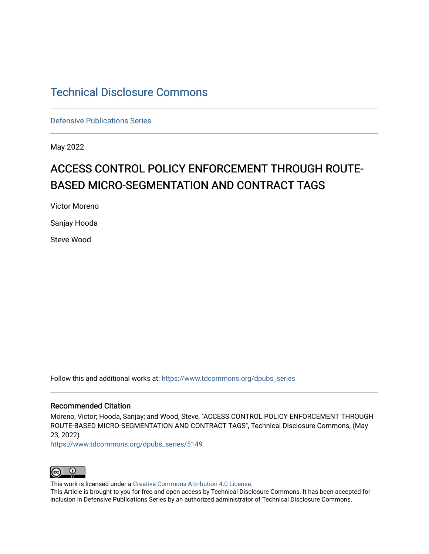# [Technical Disclosure Commons](https://www.tdcommons.org/)

[Defensive Publications Series](https://www.tdcommons.org/dpubs_series)

May 2022

# ACCESS CONTROL POLICY ENFORCEMENT THROUGH ROUTE-BASED MICRO-SEGMENTATION AND CONTRACT TAGS

Victor Moreno

Sanjay Hooda

Steve Wood

Follow this and additional works at: [https://www.tdcommons.org/dpubs\\_series](https://www.tdcommons.org/dpubs_series?utm_source=www.tdcommons.org%2Fdpubs_series%2F5149&utm_medium=PDF&utm_campaign=PDFCoverPages) 

## Recommended Citation

Moreno, Victor; Hooda, Sanjay; and Wood, Steve, "ACCESS CONTROL POLICY ENFORCEMENT THROUGH ROUTE-BASED MICRO-SEGMENTATION AND CONTRACT TAGS", Technical Disclosure Commons, (May 23, 2022)

[https://www.tdcommons.org/dpubs\\_series/5149](https://www.tdcommons.org/dpubs_series/5149?utm_source=www.tdcommons.org%2Fdpubs_series%2F5149&utm_medium=PDF&utm_campaign=PDFCoverPages)



This work is licensed under a [Creative Commons Attribution 4.0 License](http://creativecommons.org/licenses/by/4.0/deed.en_US).

This Article is brought to you for free and open access by Technical Disclosure Commons. It has been accepted for inclusion in Defensive Publications Series by an authorized administrator of Technical Disclosure Commons.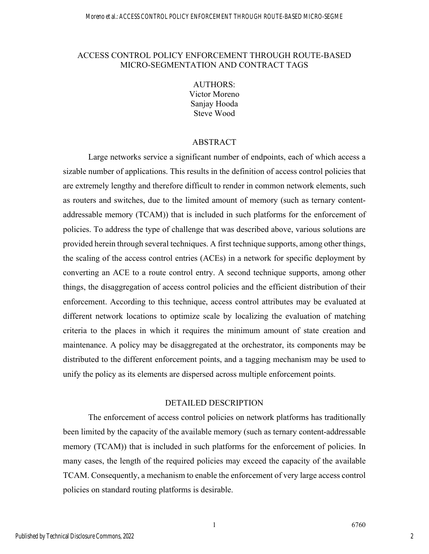### ACCESS CONTROL POLICY ENFORCEMENT THROUGH ROUTE-BASED MICRO-SEGMENTATION AND CONTRACT TAGS

AUTHORS: Victor Moreno Sanjay Hooda Steve Wood

#### ABSTRACT

Large networks service a significant number of endpoints, each of which access a sizable number of applications. This results in the definition of access control policies that are extremely lengthy and therefore difficult to render in common network elements, such as routers and switches, due to the limited amount of memory (such as ternary contentaddressable memory (TCAM)) that is included in such platforms for the enforcement of policies. To address the type of challenge that was described above, various solutions are provided herein through several techniques. A first technique supports, among other things, the scaling of the access control entries (ACEs) in a network for specific deployment by converting an ACE to a route control entry. A second technique supports, among other things, the disaggregation of access control policies and the efficient distribution of their enforcement. According to this technique, access control attributes may be evaluated at different network locations to optimize scale by localizing the evaluation of matching criteria to the places in which it requires the minimum amount of state creation and maintenance. A policy may be disaggregated at the orchestrator, its components may be distributed to the different enforcement points, and a tagging mechanism may be used to unify the policy as its elements are dispersed across multiple enforcement points.

#### DETAILED DESCRIPTION

The enforcement of access control policies on network platforms has traditionally been limited by the capacity of the available memory (such as ternary content-addressable memory (TCAM)) that is included in such platforms for the enforcement of policies. In many cases, the length of the required policies may exceed the capacity of the available TCAM. Consequently, a mechanism to enable the enforcement of very large access control policies on standard routing platforms is desirable.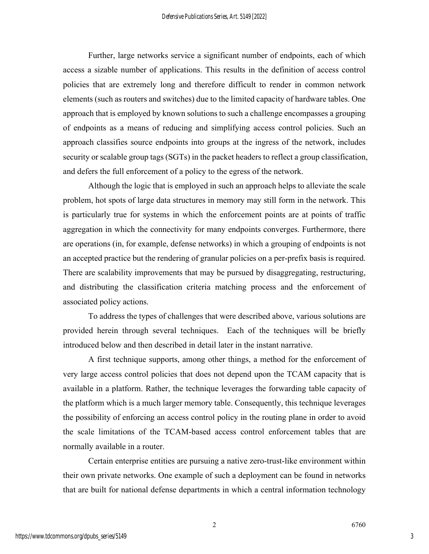Further, large networks service a significant number of endpoints, each of which access a sizable number of applications. This results in the definition of access control policies that are extremely long and therefore difficult to render in common network elements (such as routers and switches) due to the limited capacity of hardware tables. One approach that is employed by known solutions to such a challenge encompasses a grouping of endpoints as a means of reducing and simplifying access control policies. Such an approach classifies source endpoints into groups at the ingress of the network, includes security or scalable group tags (SGTs) in the packet headers to reflect a group classification, and defers the full enforcement of a policy to the egress of the network.

Although the logic that is employed in such an approach helps to alleviate the scale problem, hot spots of large data structures in memory may still form in the network. This is particularly true for systems in which the enforcement points are at points of traffic aggregation in which the connectivity for many endpoints converges. Furthermore, there are operations (in, for example, defense networks) in which a grouping of endpoints is not an accepted practice but the rendering of granular policies on a per-prefix basis is required. There are scalability improvements that may be pursued by disaggregating, restructuring, and distributing the classification criteria matching process and the enforcement of associated policy actions.

To address the types of challenges that were described above, various solutions are provided herein through several techniques. Each of the techniques will be briefly introduced below and then described in detail later in the instant narrative.

A first technique supports, among other things, a method for the enforcement of very large access control policies that does not depend upon the TCAM capacity that is available in a platform. Rather, the technique leverages the forwarding table capacity of the platform which is a much larger memory table. Consequently, this technique leverages the possibility of enforcing an access control policy in the routing plane in order to avoid the scale limitations of the TCAM-based access control enforcement tables that are normally available in a router.

Certain enterprise entities are pursuing a native zero-trust-like environment within their own private networks. One example of such a deployment can be found in networks that are built for national defense departments in which a central information technology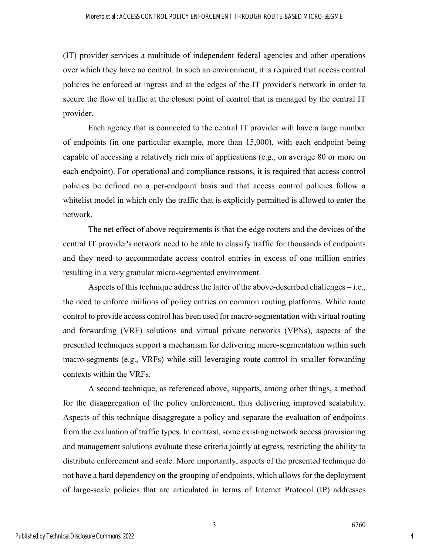(IT) provider services a multitude of independent federal agencies and other operations over which they have no control. In such an environment, it is required that access control policies be enforced at ingress and at the edges of the IT provider's network in order to secure the flow of traffic at the closest point of control that is managed by the central IT provider.

Each agency that is connected to the central IT provider will have a large number of endpoints (in one particular example, more than 15,000), with each endpoint being capable of accessing a relatively rich mix of applications (e.g., on average 80 or more on each endpoint). For operational and compliance reasons, it is required that access control policies be defined on a per-endpoint basis and that access control policies follow a whitelist model in which only the traffic that is explicitly permitted is allowed to enter the network.

The net effect of above requirements is that the edge routers and the devices of the central IT provider's network need to be able to classify traffic for thousands of endpoints and they need to accommodate access control entries in excess of one million entries resulting in a very granular micro-segmented environment.

Aspects of this technique address the latter of the above-described challenges – i.e., the need to enforce millions of policy entries on common routing platforms. While route control to provide access control has been used for macro-segmentation with virtual routing and forwarding (VRF) solutions and virtual private networks (VPNs), aspects of the presented techniques support a mechanism for delivering micro-segmentation within such macro-segments (e.g., VRFs) while still leveraging route control in smaller forwarding contexts within the VRFs.

A second technique, as referenced above, supports, among other things, a method for the disaggregation of the policy enforcement, thus delivering improved scalability. Aspects of this technique disaggregate a policy and separate the evaluation of endpoints from the evaluation of traffic types. In contrast, some existing network access provisioning and management solutions evaluate these criteria jointly at egress, restricting the ability to distribute enforcement and scale. More importantly, aspects of the presented technique do not have a hard dependency on the grouping of endpoints, which allows for the deployment of large-scale policies that are articulated in terms of Internet Protocol (IP) addresses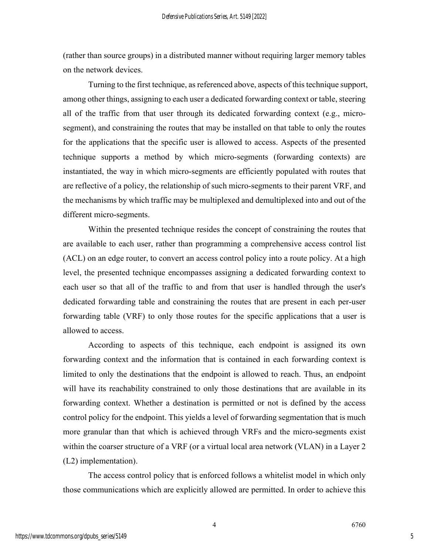(rather than source groups) in a distributed manner without requiring larger memory tables on the network devices.

Turning to the first technique, as referenced above, aspects of this technique support, among other things, assigning to each user a dedicated forwarding context or table, steering all of the traffic from that user through its dedicated forwarding context (e.g., microsegment), and constraining the routes that may be installed on that table to only the routes for the applications that the specific user is allowed to access. Aspects of the presented technique supports a method by which micro-segments (forwarding contexts) are instantiated, the way in which micro-segments are efficiently populated with routes that are reflective of a policy, the relationship of such micro-segments to their parent VRF, and the mechanisms by which traffic may be multiplexed and demultiplexed into and out of the different micro-segments.

Within the presented technique resides the concept of constraining the routes that are available to each user, rather than programming a comprehensive access control list (ACL) on an edge router, to convert an access control policy into a route policy. At a high level, the presented technique encompasses assigning a dedicated forwarding context to each user so that all of the traffic to and from that user is handled through the user's dedicated forwarding table and constraining the routes that are present in each per-user forwarding table (VRF) to only those routes for the specific applications that a user is allowed to access.

According to aspects of this technique, each endpoint is assigned its own forwarding context and the information that is contained in each forwarding context is limited to only the destinations that the endpoint is allowed to reach. Thus, an endpoint will have its reachability constrained to only those destinations that are available in its forwarding context. Whether a destination is permitted or not is defined by the access control policy for the endpoint. This yields a level of forwarding segmentation that is much more granular than that which is achieved through VRFs and the micro-segments exist within the coarser structure of a VRF (or a virtual local area network (VLAN) in a Layer 2 (L2) implementation).

The access control policy that is enforced follows a whitelist model in which only those communications which are explicitly allowed are permitted. In order to achieve this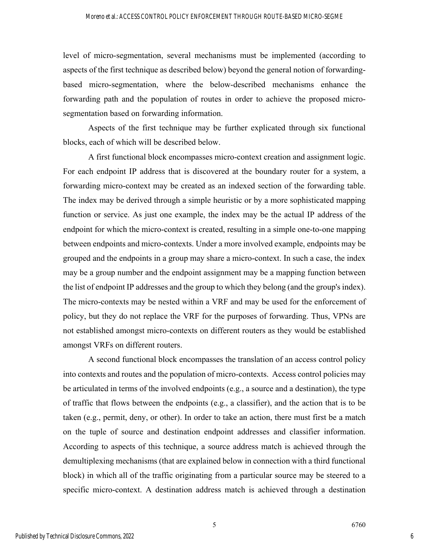level of micro-segmentation, several mechanisms must be implemented (according to aspects of the first technique as described below) beyond the general notion of forwardingbased micro-segmentation, where the below-described mechanisms enhance the forwarding path and the population of routes in order to achieve the proposed microsegmentation based on forwarding information.

Aspects of the first technique may be further explicated through six functional blocks, each of which will be described below.

A first functional block encompasses micro-context creation and assignment logic. For each endpoint IP address that is discovered at the boundary router for a system, a forwarding micro-context may be created as an indexed section of the forwarding table. The index may be derived through a simple heuristic or by a more sophisticated mapping function or service. As just one example, the index may be the actual IP address of the endpoint for which the micro-context is created, resulting in a simple one-to-one mapping between endpoints and micro-contexts. Under a more involved example, endpoints may be grouped and the endpoints in a group may share a micro-context. In such a case, the index may be a group number and the endpoint assignment may be a mapping function between the list of endpoint IP addresses and the group to which they belong (and the group's index). The micro-contexts may be nested within a VRF and may be used for the enforcement of policy, but they do not replace the VRF for the purposes of forwarding. Thus, VPNs are not established amongst micro-contexts on different routers as they would be established amongst VRFs on different routers.

A second functional block encompasses the translation of an access control policy into contexts and routes and the population of micro-contexts. Access control policies may be articulated in terms of the involved endpoints (e.g., a source and a destination), the type of traffic that flows between the endpoints (e.g., a classifier), and the action that is to be taken (e.g., permit, deny, or other). In order to take an action, there must first be a match on the tuple of source and destination endpoint addresses and classifier information. According to aspects of this technique, a source address match is achieved through the demultiplexing mechanisms (that are explained below in connection with a third functional block) in which all of the traffic originating from a particular source may be steered to a specific micro-context. A destination address match is achieved through a destination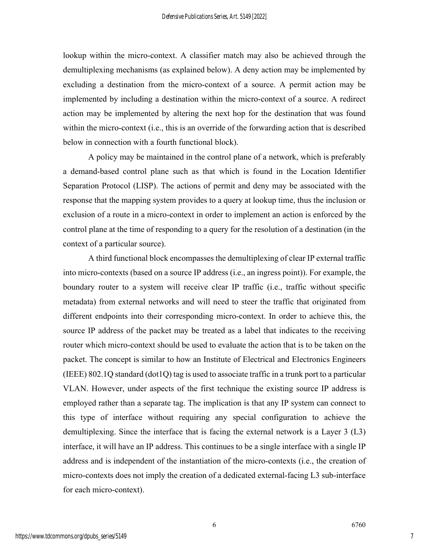lookup within the micro-context. A classifier match may also be achieved through the demultiplexing mechanisms (as explained below). A deny action may be implemented by excluding a destination from the micro-context of a source. A permit action may be implemented by including a destination within the micro-context of a source. A redirect action may be implemented by altering the next hop for the destination that was found within the micro-context (i.e., this is an override of the forwarding action that is described below in connection with a fourth functional block).

A policy may be maintained in the control plane of a network, which is preferably a demand-based control plane such as that which is found in the Location Identifier Separation Protocol (LISP). The actions of permit and deny may be associated with the response that the mapping system provides to a query at lookup time, thus the inclusion or exclusion of a route in a micro-context in order to implement an action is enforced by the control plane at the time of responding to a query for the resolution of a destination (in the context of a particular source).

A third functional block encompasses the demultiplexing of clear IP external traffic into micro-contexts (based on a source IP address (i.e., an ingress point)). For example, the boundary router to a system will receive clear IP traffic (i.e., traffic without specific metadata) from external networks and will need to steer the traffic that originated from different endpoints into their corresponding micro-context. In order to achieve this, the source IP address of the packet may be treated as a label that indicates to the receiving router which micro-context should be used to evaluate the action that is to be taken on the packet. The concept is similar to how an Institute of Electrical and Electronics Engineers (IEEE)  $802.1Q$  standard  $(dot1Q)$  tag is used to associate traffic in a trunk port to a particular VLAN. However, under aspects of the first technique the existing source IP address is employed rather than a separate tag. The implication is that any IP system can connect to this type of interface without requiring any special configuration to achieve the demultiplexing. Since the interface that is facing the external network is a Layer 3 (L3) interface, it will have an IP address. This continues to be a single interface with a single IP address and is independent of the instantiation of the micro-contexts (i.e., the creation of micro-contexts does not imply the creation of a dedicated external-facing L3 sub-interface for each micro-context).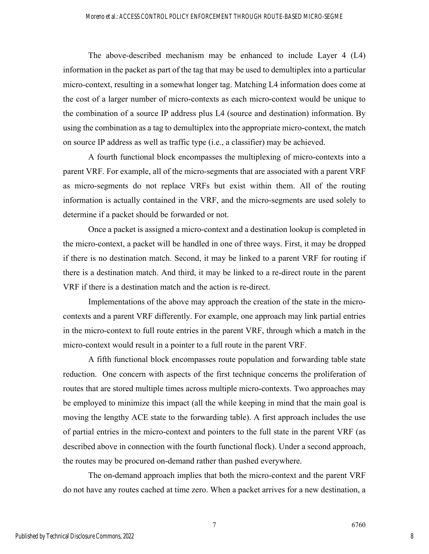The above-described mechanism may be enhanced to include Layer 4 (L4) information in the packet as part of the tag that may be used to demultiplex into a particular micro-context, resulting in a somewhat longer tag. Matching L4 information does come at the cost of a larger number of micro-contexts as each micro-context would be unique to the combination of a source IP address plus L4 (source and destination) information. By using the combination as a tag to demultiplex into the appropriate micro-context, the match on source IP address as well as traffic type (i.e., a classifier) may be achieved.

A fourth functional block encompasses the multiplexing of micro-contexts into a parent VRF. For example, all of the micro-segments that are associated with a parent VRF as micro-segments do not replace VRFs but exist within them. All of the routing information is actually contained in the VRF, and the micro-segments are used solely to determine if a packet should be forwarded or not.

Once a packet is assigned a micro-context and a destination lookup is completed in the micro-context, a packet will be handled in one of three ways. First, it may be dropped if there is no destination match. Second, it may be linked to a parent VRF for routing if there is a destination match. And third, it may be linked to a re-direct route in the parent VRF if there is a destination match and the action is re-direct.

Implementations of the above may approach the creation of the state in the microcontexts and a parent VRF differently. For example, one approach may link partial entries in the micro-context to full route entries in the parent VRF, through which a match in the micro-context would result in a pointer to a full route in the parent VRF.

A fifth functional block encompasses route population and forwarding table state reduction. One concern with aspects of the first technique concerns the proliferation of routes that are stored multiple times across multiple micro-contexts. Two approaches may be employed to minimize this impact (all the while keeping in mind that the main goal is moving the lengthy ACE state to the forwarding table). A first approach includes the use of partial entries in the micro-context and pointers to the full state in the parent VRF (as described above in connection with the fourth functional flock). Under a second approach, the routes may be procured on-demand rather than pushed everywhere.

The on-demand approach implies that both the micro-context and the parent VRF do not have any routes cached at time zero. When a packet arrives for a new destination, a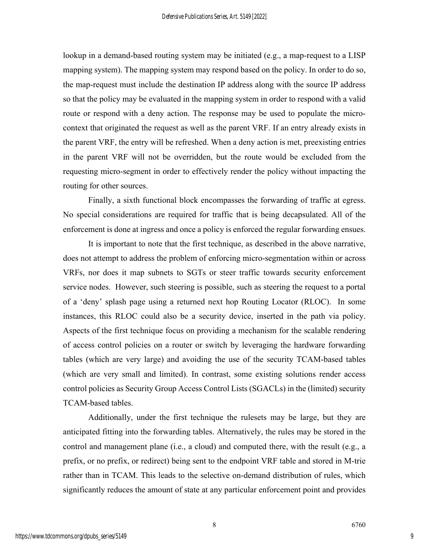lookup in a demand-based routing system may be initiated (e.g., a map-request to a LISP mapping system). The mapping system may respond based on the policy. In order to do so, the map-request must include the destination IP address along with the source IP address so that the policy may be evaluated in the mapping system in order to respond with a valid route or respond with a deny action. The response may be used to populate the microcontext that originated the request as well as the parent VRF. If an entry already exists in the parent VRF, the entry will be refreshed. When a deny action is met, preexisting entries in the parent VRF will not be overridden, but the route would be excluded from the requesting micro-segment in order to effectively render the policy without impacting the routing for other sources.

Finally, a sixth functional block encompasses the forwarding of traffic at egress. No special considerations are required for traffic that is being decapsulated. All of the enforcement is done at ingress and once a policy is enforced the regular forwarding ensues.

It is important to note that the first technique, as described in the above narrative, does not attempt to address the problem of enforcing micro-segmentation within or across VRFs, nor does it map subnets to SGTs or steer traffic towards security enforcement service nodes. However, such steering is possible, such as steering the request to a portal of a 'deny' splash page using a returned next hop Routing Locator (RLOC). In some instances, this RLOC could also be a security device, inserted in the path via policy. Aspects of the first technique focus on providing a mechanism for the scalable rendering of access control policies on a router or switch by leveraging the hardware forwarding tables (which are very large) and avoiding the use of the security TCAM-based tables (which are very small and limited). In contrast, some existing solutions render access control policies as Security Group Access Control Lists (SGACLs) in the (limited) security TCAM-based tables.

Additionally, under the first technique the rulesets may be large, but they are anticipated fitting into the forwarding tables. Alternatively, the rules may be stored in the control and management plane (i.e., a cloud) and computed there, with the result (e.g., a prefix, or no prefix, or redirect) being sent to the endpoint VRF table and stored in M-trie rather than in TCAM. This leads to the selective on-demand distribution of rules, which significantly reduces the amount of state at any particular enforcement point and provides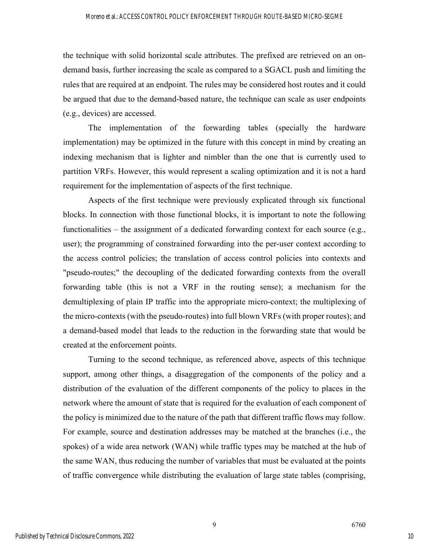the technique with solid horizontal scale attributes. The prefixed are retrieved on an ondemand basis, further increasing the scale as compared to a SGACL push and limiting the rules that are required at an endpoint. The rules may be considered host routes and it could be argued that due to the demand-based nature, the technique can scale as user endpoints (e.g., devices) are accessed.

The implementation of the forwarding tables (specially the hardware implementation) may be optimized in the future with this concept in mind by creating an indexing mechanism that is lighter and nimbler than the one that is currently used to partition VRFs. However, this would represent a scaling optimization and it is not a hard requirement for the implementation of aspects of the first technique.

Aspects of the first technique were previously explicated through six functional blocks. In connection with those functional blocks, it is important to note the following functionalities – the assignment of a dedicated forwarding context for each source (e.g., user); the programming of constrained forwarding into the per-user context according to the access control policies; the translation of access control policies into contexts and "pseudo-routes;" the decoupling of the dedicated forwarding contexts from the overall forwarding table (this is not a VRF in the routing sense); a mechanism for the demultiplexing of plain IP traffic into the appropriate micro-context; the multiplexing of the micro-contexts (with the pseudo-routes) into full blown VRFs (with proper routes); and a demand-based model that leads to the reduction in the forwarding state that would be created at the enforcement points.

Turning to the second technique, as referenced above, aspects of this technique support, among other things, a disaggregation of the components of the policy and a distribution of the evaluation of the different components of the policy to places in the network where the amount of state that is required for the evaluation of each component of the policy is minimized due to the nature of the path that different traffic flows may follow. For example, source and destination addresses may be matched at the branches (i.e., the spokes) of a wide area network (WAN) while traffic types may be matched at the hub of the same WAN, thus reducing the number of variables that must be evaluated at the points of traffic convergence while distributing the evaluation of large state tables (comprising,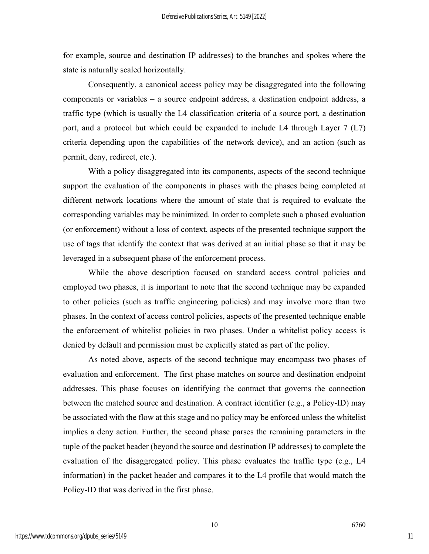for example, source and destination IP addresses) to the branches and spokes where the state is naturally scaled horizontally.

Consequently, a canonical access policy may be disaggregated into the following components or variables – a source endpoint address, a destination endpoint address, a traffic type (which is usually the L4 classification criteria of a source port, a destination port, and a protocol but which could be expanded to include L4 through Layer 7 (L7) criteria depending upon the capabilities of the network device), and an action (such as permit, deny, redirect, etc.).

With a policy disaggregated into its components, aspects of the second technique support the evaluation of the components in phases with the phases being completed at different network locations where the amount of state that is required to evaluate the corresponding variables may be minimized. In order to complete such a phased evaluation (or enforcement) without a loss of context, aspects of the presented technique support the use of tags that identify the context that was derived at an initial phase so that it may be leveraged in a subsequent phase of the enforcement process.

While the above description focused on standard access control policies and employed two phases, it is important to note that the second technique may be expanded to other policies (such as traffic engineering policies) and may involve more than two phases. In the context of access control policies, aspects of the presented technique enable the enforcement of whitelist policies in two phases. Under a whitelist policy access is denied by default and permission must be explicitly stated as part of the policy.

As noted above, aspects of the second technique may encompass two phases of evaluation and enforcement. The first phase matches on source and destination endpoint addresses. This phase focuses on identifying the contract that governs the connection between the matched source and destination. A contract identifier (e.g., a Policy-ID) may be associated with the flow at this stage and no policy may be enforced unless the whitelist implies a deny action. Further, the second phase parses the remaining parameters in the tuple of the packet header (beyond the source and destination IP addresses) to complete the evaluation of the disaggregated policy. This phase evaluates the traffic type (e.g., L4 information) in the packet header and compares it to the L4 profile that would match the Policy-ID that was derived in the first phase.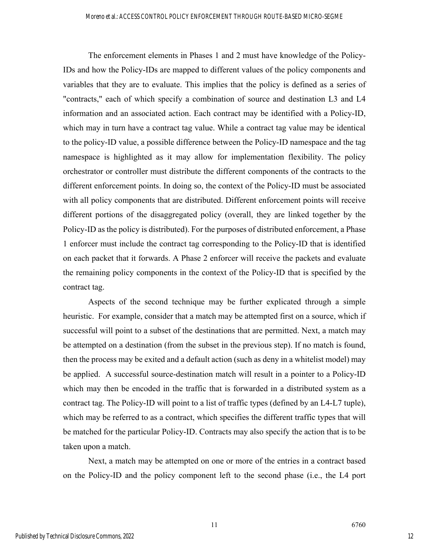The enforcement elements in Phases 1 and 2 must have knowledge of the Policy-IDs and how the Policy-IDs are mapped to different values of the policy components and variables that they are to evaluate. This implies that the policy is defined as a series of "contracts," each of which specify a combination of source and destination L3 and L4 information and an associated action. Each contract may be identified with a Policy-ID, which may in turn have a contract tag value. While a contract tag value may be identical to the policy-ID value, a possible difference between the Policy-ID namespace and the tag namespace is highlighted as it may allow for implementation flexibility. The policy orchestrator or controller must distribute the different components of the contracts to the different enforcement points. In doing so, the context of the Policy-ID must be associated with all policy components that are distributed. Different enforcement points will receive different portions of the disaggregated policy (overall, they are linked together by the Policy-ID as the policy is distributed). For the purposes of distributed enforcement, a Phase 1 enforcer must include the contract tag corresponding to the Policy-ID that is identified on each packet that it forwards. A Phase 2 enforcer will receive the packets and evaluate the remaining policy components in the context of the Policy-ID that is specified by the contract tag.

Aspects of the second technique may be further explicated through a simple heuristic. For example, consider that a match may be attempted first on a source, which if successful will point to a subset of the destinations that are permitted. Next, a match may be attempted on a destination (from the subset in the previous step). If no match is found, then the process may be exited and a default action (such as deny in a whitelist model) may be applied. A successful source-destination match will result in a pointer to a Policy-ID which may then be encoded in the traffic that is forwarded in a distributed system as a contract tag. The Policy-ID will point to a list of traffic types (defined by an L4-L7 tuple), which may be referred to as a contract, which specifies the different traffic types that will be matched for the particular Policy-ID. Contracts may also specify the action that is to be taken upon a match.

Next, a match may be attempted on one or more of the entries in a contract based on the Policy-ID and the policy component left to the second phase (i.e., the L4 port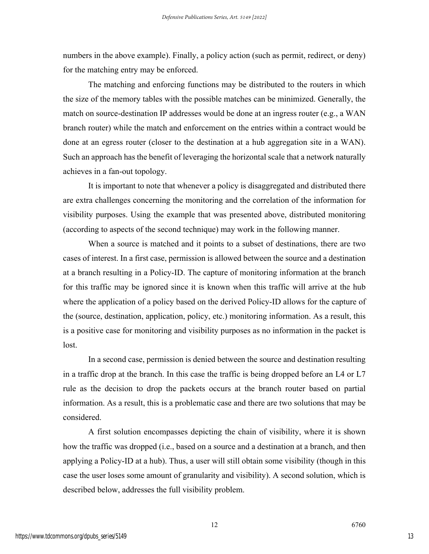numbers in the above example). Finally, a policy action (such as permit, redirect, or deny) for the matching entry may be enforced.

The matching and enforcing functions may be distributed to the routers in which the size of the memory tables with the possible matches can be minimized. Generally, the match on source-destination IP addresses would be done at an ingress router (e.g., a WAN branch router) while the match and enforcement on the entries within a contract would be done at an egress router (closer to the destination at a hub aggregation site in a WAN). Such an approach has the benefit of leveraging the horizontal scale that a network naturally achieves in a fan-out topology.

It is important to note that whenever a policy is disaggregated and distributed there are extra challenges concerning the monitoring and the correlation of the information for visibility purposes. Using the example that was presented above, distributed monitoring (according to aspects of the second technique) may work in the following manner.

When a source is matched and it points to a subset of destinations, there are two cases of interest. In a first case, permission is allowed between the source and a destination at a branch resulting in a Policy-ID. The capture of monitoring information at the branch for this traffic may be ignored since it is known when this traffic will arrive at the hub where the application of a policy based on the derived Policy-ID allows for the capture of the (source, destination, application, policy, etc.) monitoring information. As a result, this is a positive case for monitoring and visibility purposes as no information in the packet is lost.

In a second case, permission is denied between the source and destination resulting in a traffic drop at the branch. In this case the traffic is being dropped before an L4 or L7 rule as the decision to drop the packets occurs at the branch router based on partial information. As a result, this is a problematic case and there are two solutions that may be considered.

A first solution encompasses depicting the chain of visibility, where it is shown how the traffic was dropped (i.e., based on a source and a destination at a branch, and then applying a Policy-ID at a hub). Thus, a user will still obtain some visibility (though in this case the user loses some amount of granularity and visibility). A second solution, which is described below, addresses the full visibility problem.